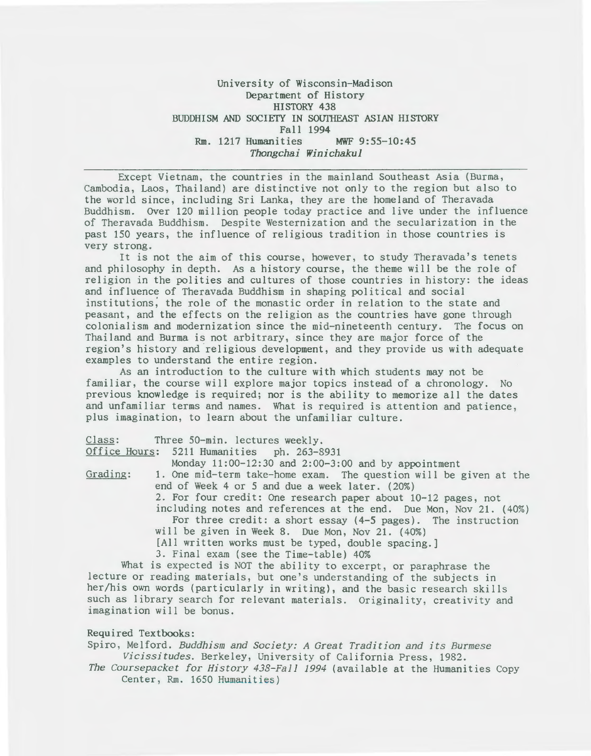# University of Wisconsin-Madison Department of History HISTORY 438 BUDDHISM AND SOCIETY IN SOUTHEAST ASIAN HISTORY Fall 1994 Rm. 1217 Humanities MWF 9:55-10:45 *Thongchai Winichakul*

Except Vietnam, the countries in the mainland Southeast Asia (Burma, Cambodia, Laos, Thailand) are distinctive not only to the region but also to the world since, including Sri Lanka, they are the homeland of Theravada Buddhism. Over 120 million people today practice and live under the influence of Theravada Buddhism. Despite Westernization and the secularization in the past 150 years, the influence of religious tradition in those countries is very strong.

It is not the aim of this course, however, to study Theravada's tenets and philosophy in depth. As a history course, the theme will be the role of religion in the polities and cultures of those countries in history: the ideas and influence of Theravada Buddhism in shaping political and social institutions; the role of the monastic order in relation to the state and peasant, and the effects on the religion as the countries have gone through colonialism and modernization since the mid-nineteenth century. The focus on Thailand and Burma is not arbitrary, since they are major force of the region's history and religious development, and they provide us with adequate examples to understand the entire region.

As an introduction to the culture with which students may not be familiar, the course will explore major topics instead of a chronology. No previous knowledge is required; nor is the ability to memorize all the dates and unfamiliar terms and names. What is required is attention and patience, plus imagination, to learn about the unfamiliar culture.

|          | Class: Three 50-min. lectures weekly.                             |
|----------|-------------------------------------------------------------------|
|          | Office Hours: 5211 Humanities ph. 263-8931                        |
|          | Monday 11:00-12:30 and 2:00-3:00 and by appointment               |
| Grading: | 1. One mid-term take-home exam. The question will be given at the |
|          | end of Week 4 or 5 and due a week later. (20%)                    |
|          | 2. For four credit: One research paper about 10-12 pages, not     |
|          | including notes and references at the end. Due Mon, Nov 21. (40%) |
|          | For three credit: a short essay (4-5 pages). The instruction      |
|          | will be given in Week 8. Due Mon, Nov 21. (40%)                   |
|          | [All written works must be typed, double spacing.]                |
|          | 3. Final exam (see the Time-table) 40%                            |
|          | What is expected is NOT the ability to excerpt, or paraphrase the |

lecture or reading materials, but one's understanding of the subjects in her/his own words (particularly in writing), and the basic research skills such as library search for relevant materials. Originality, creativity and imagination will be bonus.

## Required Textbooks:

Spiro, Melford. *Buddhism and Society: A Great Tradition and its Burmese Vicissitudes.* Berkeley, University of California Press, 1982.

*The Coursepacket for History 438-Fall 1994* (available at the Humanities Copy Center, Rm. 1650 Humanities)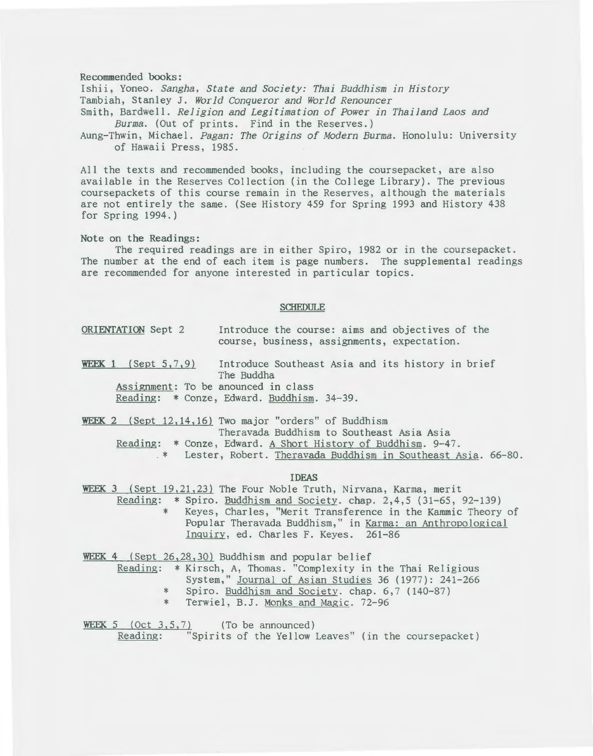#### Recommended books:

Ishii, Yoneo. *Sangha, State and Society: Thai Buddhism in History*  Tambiah, Stanley J. *World Conqueror and World Renouncer*  Smith, Bardwell. *Religion and Legitimation of Power in Thailand Laos and* 

*Burma.* (Out of prints. Find in the Reserves.)

Aung-Thwin, Michael. *Pagan: The Origins of Modern Burma.* Honolulu: University of Hawaii Press, 1985.

All the texts and recommended books, including the coursepacket, are also available in the Reserves Collection (in the College Library). The previous coursepackets of this course remain in the Reserves, although the materials are not entirely the same. (See History 459 for Spring 1993 and History 438 for Spring 1994.)

### Note on the Readings:

The required readings are in either Spiro, 1982 or in the coursepacket. The number at the end of each item is page numbers. The supplemental readings are recommended for anyone interested in particular topics.

#### SCHEDULE

- ORIENTATION Sept 2 Introduce the course: aims and objectives of the course, business, assignments, expectation.
- WEEK 1 (Sept 5,7,9) Introduce Southeast Asia and its history in brief The Buddha

Assignment: To be anounced in class Reading: \* Conze, Edward. Buddhism. 34-39.

WEEK 2 (Sept 12,14,16) Two major "orders" of Buddhism Theravada Buddhism to Southeast Asia Asia Reading: \* Conze, Edward. <u>A Short History of Buddhism</u>. 9-47.<br>\* Lester, Robert. <u>Theravada Buddhism in Southeast Asia</u>. 66-80.

#### IDEAS

WEEK 3 (Sept 19,21,23) The Four Noble Truth, Nirvana, Karma, merit

Reading: \* Spiro. Buddhism and Society. chap. 2,4,5 (31-65, 92-139) \* Keyes, Charles, "Merit Transference in the Kammic Theory of Popular Theravada Buddhism," in Karma: an Anthropological Inquiry, ed. Charles F. Keyes. 261-86

WEEK 4 (Sept 26,28,30) Buddhism and popular belief

- Reading: \* Kirsch, A, Thomas. "Complexity in the Thai Religious
	- System," Journal of Asian Studies 36 (1977): 241-266
		- \* Spiro. Buddhism and Society. chap. 6,7 (140-87)
		- \* Terwiel, B.J. Monks and Magic. 72-96

WEEK 5 (Oct 3,5,7) (To be announced) Reading: "Spirits of the Yellow Leaves" (in the coursepacket)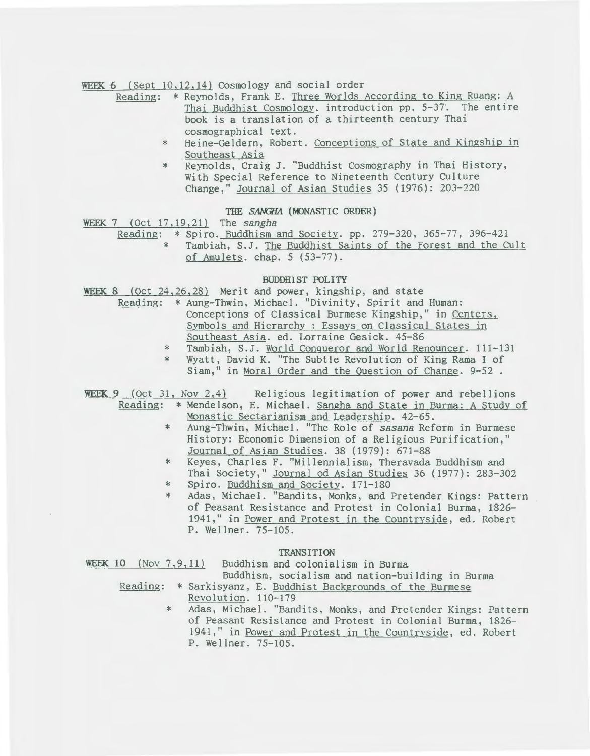WEEK 6 (Sept 10,12,14) Cosmology and social order

- Reading: \* Reynolds, Frank E. Three Worlds According to King Ruang: A Thai Buddhist Cosmology. introduction pp. 5-37·. The entire book is a translation of a thirteenth century Thai cosmographical text.
	- \* Heine-Geldern, Robert. Conceptions of State and Kingship in Southeast Asia
	- \* Reynolds, Craig J. "Buddhist Cosmography in Thai History, With Special Reference to Nineteenth Century Culture Change," Journal of Asian Studies 35 (1976): 203-220

## THE SANGHA (MONASTIC ORDER)

WEEK 7 (Oct 17,19,21) The *sangha* 

Reading: \* Spiro. Buddhism and Society. pp. 279-320, 365-77, 396-421<br>\* Tambiah. S. J. The Buddhist Saints of the Forest and the Co Tambiah, S.J. The Buddhist Saints of the Forest and the Cult of Amulets. chap. 5 (53-77).

## BUDDHIST POLITY

WEEK 8 (Oct 24, 26, 28) Merit and power, kingship, and state

- Reading: \* Aung-Thwin, Michael. "Divinity, Spirit and Human: Conceptions of Classical Burmese Kingship," in Centers. Symbols and Hierarchy : Essays on Classical States in Southeast Asia. ed. Lorraine Gesick. 45-86
	- \* Tambiah, S.J. World Conqueror and World Renouncer. 111-131
	- \* Wyatt, David K. "The Subtle Revolution of King Rama I of
	- Siam," in Moral Order and the Question of Change. 9-52 .

WEEK 9 (Oct 31, Nov 2,4) Religious legitimation of power and rebellions Reading: \*Mendelson, E. Michael. Sangha and State in Burma: A Study of Monastic Sectarianism and Leadership. 42-65.

- \* Aung-Thwin, Michael. "The Role of *sasana* Reform in Burmese History: Economic Dimension of a Religious Purification," Journal of Asian Studies. 38 (1979): 671-88
- \* Keyes, Charles F. "Millennialism, Theravada Buddhism and Thai Society," Journal od Asian Studies 36 (1977): 283-302
- \* Spiro. Buddhism and Society. 171-180
- \* Adas, Michael. "Bandits, Monks, and Pretender Kings: Pattern of Peasant Resistance and Protest in Colonial Burma, 1826- 1941," in Power and Protest in the Countryside, ed. Robert P. Wellner. 75-105.

#### TRANSITION

| WEEK $10$ (Nov $7, 9, 11$ ) |     | Buddhism and colonialism in Burma                             |
|-----------------------------|-----|---------------------------------------------------------------|
|                             |     | Buddhism, socialism and nation-building in Burma              |
|                             |     | Reading: * Sarkisyanz, E. Buddhist Backgrounds of the Burmese |
|                             |     | Revolution. 110-179                                           |
|                             | $*$ | Adas, Michael. "Bandits, Monks, and Pretender Kings: Pattern  |
|                             |     | of Peasant Resistance and Protest in Colonial Burma, 1826-    |
|                             |     | 1941," in Power and Protest in the Countryside, ed. Robert    |
|                             |     | P. Wellner. 75-105.                                           |
|                             |     |                                                               |
|                             |     |                                                               |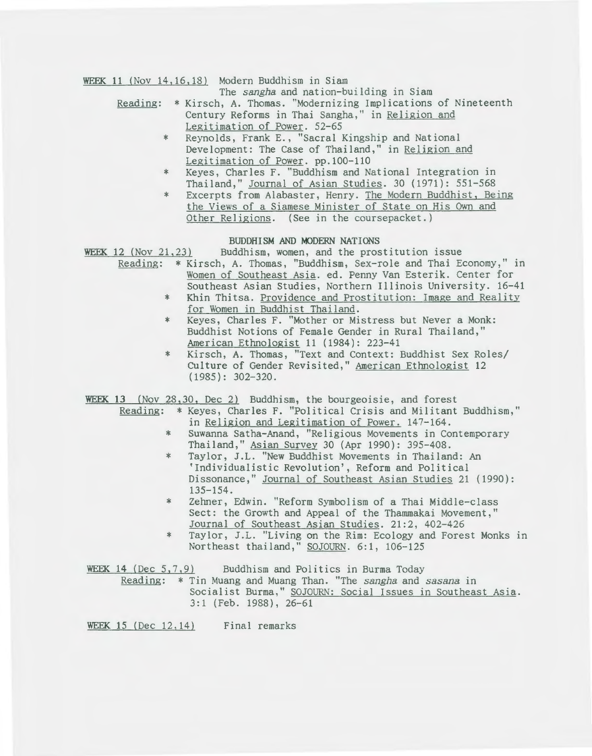WEEK 11 (Nov 14, 16, 18) Modern Buddhism in Siam

The sangha and nation-building in Siam

- Reading: \* Kirsch, A. Thomas. "Modernizing Implications of Nineteenth Century Reforms in Thai Sangha," in Religion and Legitimation of Power. 52-65
	- \* Reynolds, Frank E., "Sacral Kingship and National Development: The Case of Thailand," in Religion and Legitimation of Power. pp.l00-110
	- \* Keyes, Charles F. "Buddhism and National Integration in Thailand," Journal of Asian Studies. 30 (1971): 551-568
	- \* Excerpts from Alabaster, Henry. The Modern Buddhist, Being the Views of a Siamese Minister of State on His Own and Other Religions. (See in the coursepacket.)

## BUDDHISM AND MODERN NATIONS

WEEK 12 (Nov 21,23) Buddhism, women, and the prostitution issue

- Reading: \*Kirsch, A. Thomas, "Buddhism, Sex-role and Thai Economy," in Women of Southeast Asia. ed. Penny Van Esterik. Center for Southeast Asian Studies, Northern Illinois University. 16-41
	- \* Khin Thitsa. Providence and Prostitution: Image and Reality for Women in Buddhist Thailand.
	- \* Keyes, Charles F. "Mother or Mistress but Never a Monk: Buddhist Notions of Female Gender in Rural Thailand," American Ethnologist 11 (1984): 223-41
	- \* Kirsch, A. Thomas, "Text and Context: Buddhist Sex Roles/ Culture of Gender Revisited," American Ethnologist 12 (1985): 302-320.

WEEK 13 (Nov 28,30, Dec 2) Buddhism, the bourgeoisie, and forest

- Reading: \*Keyes, Charles F. "Political Crisis and Militant Buddhism," in Religion and Legitimation of Power. 147-164.
	- \* Suwanna Satha-Anand, "Religious Movements in Contemporary Thailand," Asian Survey 30 (Apr 1990): 395-408.
	- \* Taylor, J.L. "New Buddhist Movements in Thailand: An 'Individualistic Revolution', Reform and Political Dissonance," Journal of Southeast Asian Studies 21 (1990): 135-154.
	- \* Zehner, Edwin. "Reform Symbolism of a Thai Middle-class Sect: the Growth and Appeal of the Thammakai Movement,"<br>Journal of Southeast Asian Studies. 21:2, 402-426
	- \* Taylor, J.L. "Living on the Rim: Ecology and Forest Monks in Northeast thailand," SOJOURN. 6:1, 106-125

|  | WEEK 14 (Dec $5, 7, 9$ ) |                          |  | Buddhism and Politics in Burma Today                           |  |  |                                                             |  |
|--|--------------------------|--------------------------|--|----------------------------------------------------------------|--|--|-------------------------------------------------------------|--|
|  |                          |                          |  | Reading: * Tin Muang and Muang Than. "The sangha and sasana in |  |  |                                                             |  |
|  |                          |                          |  |                                                                |  |  | Socialist Burma," SOJOURN: Social Issues in Southeast Asia. |  |
|  |                          | $3:1$ (Feb. 1988), 26-61 |  |                                                                |  |  |                                                             |  |

WEEK 15 (Dec 12,14) Final remarks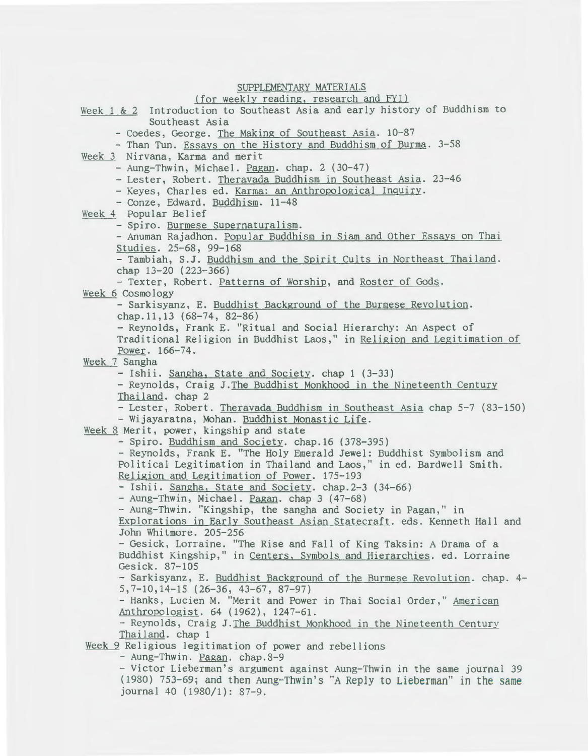### SUPPLEMENTARY MATERIALS

### (for weekly reading, research and FYI)

Week 1 & 2 Introduction to Southeast Asia and early history of Buddhism to Southeast Asia - Coedes, George. The Making of Southeast Asia. 10-87 - Than Tun. Essays on the History and Buddhism of Burma. 3-58 Week 3 Nirvana, Karma and merit - Aung-Thwin, Michael. Pagan. chap. 2 (30-47) - Lester, Robert. Theravada Buddhism in Southeast Asia. 23-46 - Keyes, Charles ed. Karma: an Anthropological Inquiry. - Conze, Edward. Buddhism. 11-48 Week 4 Popular Belief<br>- Spiro. Burmese Supernaturalism. - Anuman Rajadhon. Popular Buddhism in Siam and Other Essays on Thai Studies. 25-68, 99-168<br>- Tambiah, S.J. Buddhism and the Spirit Cults in Northeast Thailand. chap 13-20 (223-366) -Texter, Robert. Patterns of Worship, and Roster of Gods. Week 6 Cosmology - Sarkisyanz, E. Buddhist Background of the Burmese Revolution. chap.11,13 (68-74, 82-86) - Reynolds, Frank E. "Ritual and Social Hierarchy: An Aspect of Traditional Religion in Buddhist Laos," in Religion and Legitimation of Power. 166-74. Week 7 Sangha - Ishii. Sangha, State and Society. chap 1 (3-33) - Reynolds, Craig J.The Buddhist Monkhood in the Nineteenth Century Thailand. chap 2 - Lester, Robert. Theravada Buddhism in Southeast Asia chap 5-7 (83-150) - Wijayaratna, Mohan. Buddhist Monastic Life. Week 8 Merit, power, kingship and state -Spiro. Buddhism and Society. chap.16 (378-395) -Reynolds, Frank E. "The Holy Emerald Jewel: Buddhist Symbolism and Political Legitimation in Thailand and Laos," in ed. Bardwell Smith. Religion and Legitimation of Power. 175-193<br>- Ishii. Sangha, State and Society. chap.2-3 (34-66) - Aung-Thwin, Michael. Pagan. chap 3 (47-68) - Aung-Thwin. "Kingship, the sangha and Society in Pagan," in Explorations in Early Southeast Asian Statecraft. eds. Kenneth Hall and John Whitmore. 205-256 - Gesick, Lorraine. "The Rise and Fall of King Taksin: A Drama of a Buddhist Kingship," in Centers, Svmbols and Hierarchies. ed. Lorraine Gesick. 87-105 - Sarkisyanz, E. Buddhist Background of the Burmese Revolution. chap. 4- 5,7-10,14-15 (26-36, 43-67, 87-97) - Hanks, Lucien M. "Merit and Power in Thai Social Order," American Anthropologist. 64 (1962), 1247-61. - Reynolds, Craig J. The Buddhist Monkhood in the Nineteenth Century Thailand. chap 1 Week 9 Religious legitimation of power and rebellions<br>- Aung-Thwin. <u>Pagan</u>. chap.8-9 -Victor Lieberman's argument against Aung-Thwin in the same journal 39 (1980) 753- 69; and then Aung-Thwin's "A Reply to Lieberman" in the same journal 40 (1980/1): 87-9.